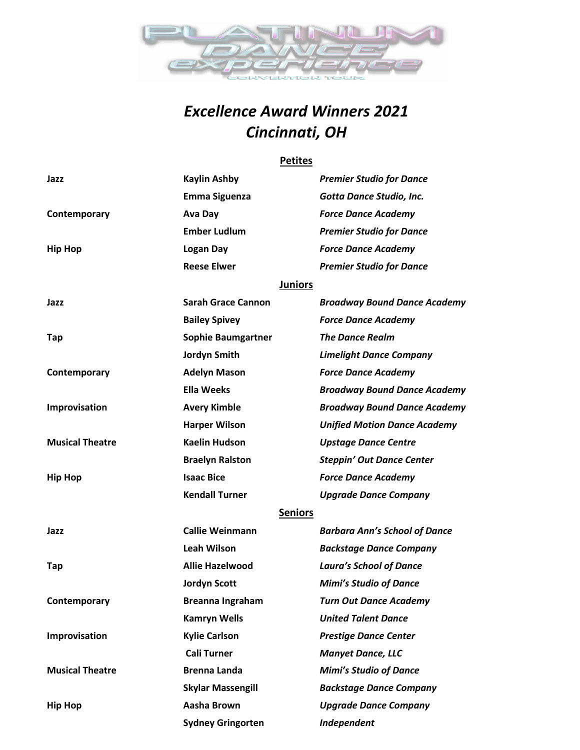

## *Excellence Award Winners 2021 Cincinnati, OH*

#### **Petites**

| Jazz                   | Kaylin Ashby              | <b>Premier Studio for Dance</b>      |
|------------------------|---------------------------|--------------------------------------|
|                        | <b>Emma Siguenza</b>      | Gotta Dance Studio, Inc.             |
| Contemporary           | Ava Day                   | <b>Force Dance Academy</b>           |
|                        | <b>Ember Ludlum</b>       | <b>Premier Studio for Dance</b>      |
| <b>Hip Hop</b>         | Logan Day                 | <b>Force Dance Academy</b>           |
|                        | <b>Reese Elwer</b>        | <b>Premier Studio for Dance</b>      |
|                        | <b>Juniors</b>            |                                      |
| Jazz                   | <b>Sarah Grace Cannon</b> | <b>Broadway Bound Dance Academy</b>  |
|                        | <b>Bailey Spivey</b>      | <b>Force Dance Academy</b>           |
| Tap                    | <b>Sophie Baumgartner</b> | <b>The Dance Realm</b>               |
|                        | Jordyn Smith              | <b>Limelight Dance Company</b>       |
| Contemporary           | <b>Adelyn Mason</b>       | <b>Force Dance Academy</b>           |
|                        | <b>Ella Weeks</b>         | <b>Broadway Bound Dance Academy</b>  |
| Improvisation          | <b>Avery Kimble</b>       | <b>Broadway Bound Dance Academy</b>  |
|                        | <b>Harper Wilson</b>      | <b>Unified Motion Dance Academy</b>  |
| <b>Musical Theatre</b> | <b>Kaelin Hudson</b>      | <b>Upstage Dance Centre</b>          |
|                        | <b>Braelyn Ralston</b>    | <b>Steppin' Out Dance Center</b>     |
| <b>Hip Hop</b>         | <b>Isaac Bice</b>         | <b>Force Dance Academy</b>           |
|                        | <b>Kendall Turner</b>     | <b>Upgrade Dance Company</b>         |
|                        | <b>Seniors</b>            |                                      |
| Jazz                   | <b>Callie Weinmann</b>    | <b>Barbara Ann's School of Dance</b> |
|                        | <b>Leah Wilson</b>        | <b>Backstage Dance Company</b>       |
| Tap                    | <b>Allie Hazelwood</b>    | <b>Laura's School of Dance</b>       |
|                        | <b>Jordyn Scott</b>       | <b>Mimi's Studio of Dance</b>        |
| Contemporary           | Breanna Ingraham          | <b>Turn Out Dance Academy</b>        |
|                        | <b>Kamryn Wells</b>       | <b>United Talent Dance</b>           |
| Improvisation          | <b>Kylie Carlson</b>      | <b>Prestige Dance Center</b>         |
|                        | <b>Cali Turner</b>        | <b>Manyet Dance, LLC</b>             |
| <b>Musical Theatre</b> | <b>Brenna Landa</b>       | <b>Mimi's Studio of Dance</b>        |
|                        | <b>Skylar Massengill</b>  | <b>Backstage Dance Company</b>       |
| <b>Hip Hop</b>         | Aasha Brown               | <b>Upgrade Dance Company</b>         |
|                        | <b>Sydney Gringorten</b>  | Independent                          |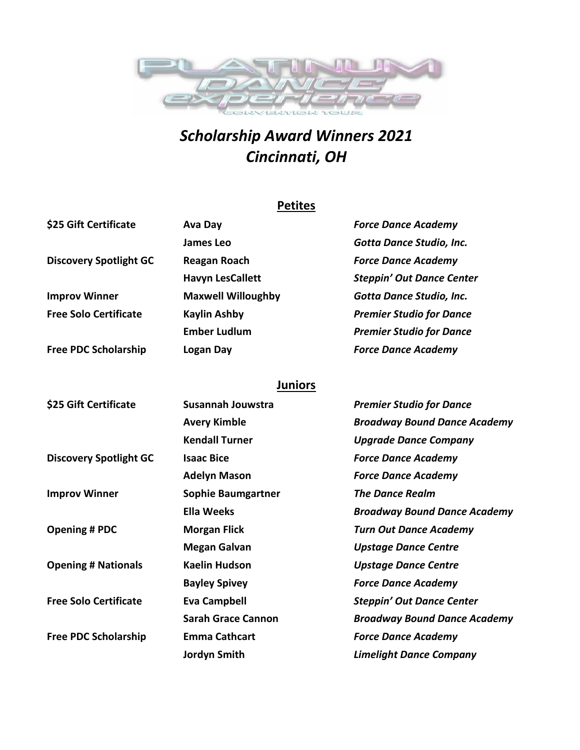

# *Scholarship Award Winners 2021 Cincinnati, OH*

## **Petites**

| \$25 Gift Certificate         | Ava Day                   | <b>Force Dance Academy</b>       |
|-------------------------------|---------------------------|----------------------------------|
|                               | James Leo                 | Gotta Dance Studio, Inc.         |
| <b>Discovery Spotlight GC</b> | <b>Reagan Roach</b>       | <b>Force Dance Academy</b>       |
|                               | <b>Havyn LesCallett</b>   | <b>Steppin' Out Dance Center</b> |
| <b>Improv Winner</b>          | <b>Maxwell Willoughby</b> | Gotta Dance Studio, Inc.         |
| <b>Free Solo Certificate</b>  | <b>Kaylin Ashby</b>       | <b>Premier Studio for Dance</b>  |
|                               | <b>Ember Ludlum</b>       | <b>Premier Studio for Dance</b>  |
| <b>Free PDC Scholarship</b>   | Logan Day                 | <b>Force Dance Academy</b>       |

### **Juniors**

| \$25 Gift Certificate         | Susannah Jouwstra         | <b>Premier Studio for Dance</b>     |
|-------------------------------|---------------------------|-------------------------------------|
|                               | <b>Avery Kimble</b>       | <b>Broadway Bound Dance Academy</b> |
|                               | <b>Kendall Turner</b>     | <b>Upgrade Dance Company</b>        |
| <b>Discovery Spotlight GC</b> | <b>Isaac Bice</b>         | <b>Force Dance Academy</b>          |
|                               | <b>Adelyn Mason</b>       | <b>Force Dance Academy</b>          |
| <b>Improv Winner</b>          | <b>Sophie Baumgartner</b> | <b>The Dance Realm</b>              |
|                               | Ella Weeks                | <b>Broadway Bound Dance Academy</b> |
| <b>Opening # PDC</b>          | <b>Morgan Flick</b>       | <b>Turn Out Dance Academy</b>       |
|                               | <b>Megan Galvan</b>       | <b>Upstage Dance Centre</b>         |
| <b>Opening # Nationals</b>    | <b>Kaelin Hudson</b>      | <b>Upstage Dance Centre</b>         |
|                               | <b>Bayley Spivey</b>      | <b>Force Dance Academy</b>          |
| <b>Free Solo Certificate</b>  | <b>Eva Campbell</b>       | <b>Steppin' Out Dance Center</b>    |
|                               | <b>Sarah Grace Cannon</b> | <b>Broadway Bound Dance Academy</b> |
| <b>Free PDC Scholarship</b>   | <b>Emma Cathcart</b>      | <b>Force Dance Academy</b>          |
|                               | Jordyn Smith              | <b>Limelight Dance Company</b>      |